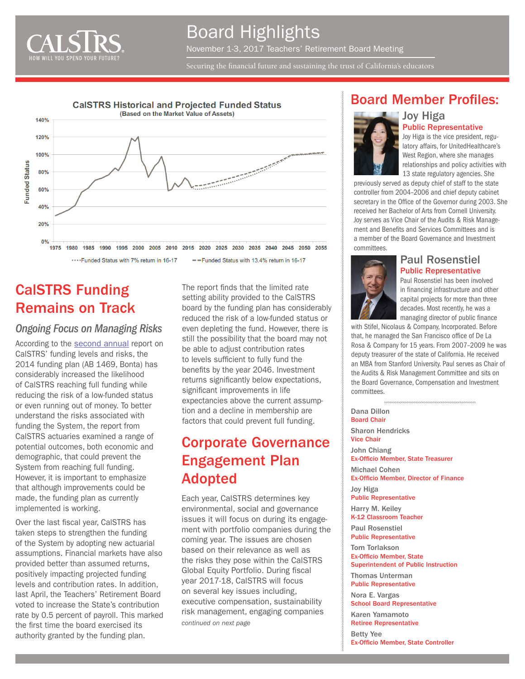

Securing the financial future and sustaining the trust of California's educators



# CalSTRS Funding Remains on Track

#### *Ongoing Focus on Managing Risks*

According to the [second annual](http://resources.calstrs.com/publicdocs/Page/CommonPage.aspx?PageName=DocumentDownload&Id=6a1e133d-e87d-4220-8249-a9ac28604aeb) report on CalSTRS' funding levels and risks, the 2014 funding plan (AB 1469, Bonta) has considerably increased the likelihood of CalSTRS reaching full funding while reducing the risk of a low-funded status or even running out of money. To better understand the risks associated with funding the System, the report from CalSTRS actuaries examined a range of potential outcomes, both economic and demographic, that could prevent the System from reaching full funding. However, it is important to emphasize that although improvements could be made, the funding plan as currently implemented is working.

Over the last fiscal year, CalSTRS has taken steps to strengthen the funding of the System by adopting new actuarial assumptions. Financial markets have also provided better than assumed returns, positively impacting projected funding levels and contribution rates. In addition, last April, the Teachers' Retirement Board voted to increase the State's contribution rate by 0.5 percent of payroll. This marked the first time the board exercised its authority granted by the funding plan.

The report finds that the limited rate setting ability provided to the CalSTRS board by the funding plan has considerably reduced the risk of a low-funded status or even depleting the fund. However, there is still the possibility that the board may not be able to adjust contribution rates to levels sufficient to fully fund the benefits by the year 2046. Investment returns significantly below expectations, significant improvements in life expectancies above the current assumption and a decline in membership are factors that could prevent full funding.

# Corporate Governance Engagement Plan Adopted

Each year, CalSTRS determines key environmental, social and governance issues it will focus on during its engagement with portfolio companies during the coming year. The issues are chosen based on their relevance as well as the risks they pose within the CalSTRS Global Equity Portfolio. During fiscal year 2017-18, CalSTRS will focus on several key issues including, executive compensation, sustainability risk management, engaging companies *continued on next page*

#### Board Member Profiles:

Joy Higa



Public Representative Joy Higa is the vice president, regulatory affairs, for UnitedHealthcare's West Region, where she manages relationships and policy activities with 13 state regulatory agencies. She

previously served as deputy chief of staff to the state controller from 2004–2006 and chief deputy cabinet secretary in the Office of the Governor during 2003. She received her Bachelor of Arts from Cornell University. Joy serves as Vice Chair of the Audits & Risk Management and Benefits and Services Committees and is a member of the Board Governance and Investment committees.



Paul Rosenstiel Public Representative

Paul Rosenstiel has been involved in financing infrastructure and other capital projects for more than three decades. Most recently, he was a managing director of public finance

with Stifel, Nicolaus & Company, Incorporated. Before that, he managed the San Francisco office of De La Rosa & Company for 15 years. From 2007–2009 he was deputy treasurer of the state of California. He received an MBA from Stanford University. Paul serves as Chair of the Audits & Risk Management Committee and sits on the Board Governance, Compensation and Investment committees.

Dana Dillon Board Chair Sharon Hendricks Vice Chair John Chiang Ex-Officio Member, State Treasurer Michael Cohen Ex-Officio Member, Director of Finance Joy Higa Public Representative Harry M. Keiley K-12 Classroom Teacher Paul Rosenstiel Public Representative Tom Torlakson Ex-Officio Member, State Superintendent of Public Instruction Thomas Unterman Public Representative Nora E. Vargas School Board Representative

Karen Yamamoto Retiree Representative Betty Yee

Ex-Officio Member, State Controller